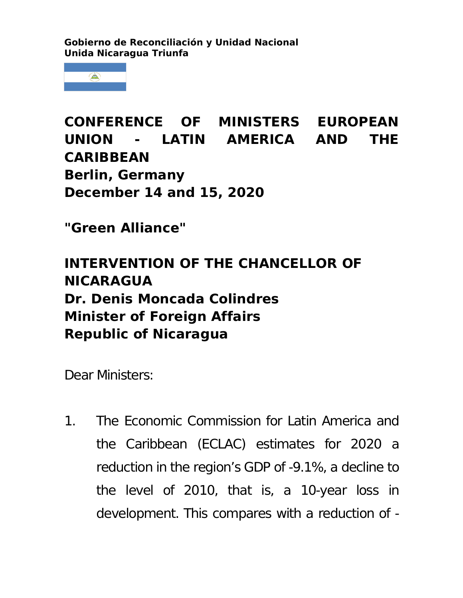**Gobierno de Reconciliación y Unidad Nacional Unida Nicaragua Triunfa**



**CONFERENCE OF MINISTERS EUROPEAN UNION - LATIN AMERICA AND THE CARIBBEAN Berlin, Germany December 14 and 15, 2020**

**"Green Alliance"**

## **INTERVENTION OF THE CHANCELLOR OF NICARAGUA Dr. Denis Moncada Colindres Minister of Foreign Affairs Republic of Nicaragua**

Dear Ministers:

1. The Economic Commission for Latin America and the Caribbean (ECLAC) estimates for 2020 a reduction in the region's GDP of -9.1%, a decline to the level of 2010, that is, a 10-year loss in development. This compares with a reduction of -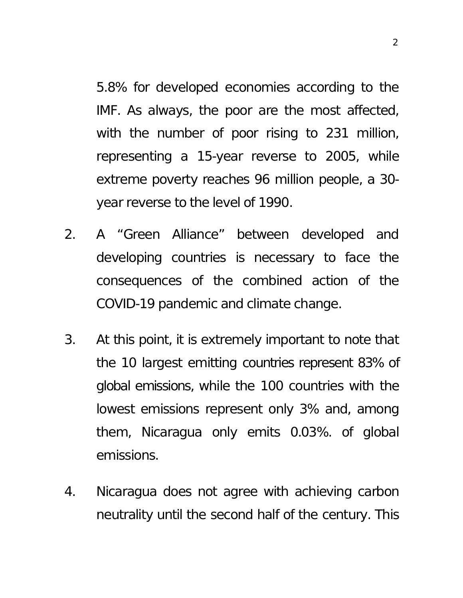5.8% for developed economies according to the IMF. As always, the poor are the most affected, with the number of poor rising to 231 million, representing a 15-year reverse to 2005, while extreme poverty reaches 96 million people, a 30 year reverse to the level of 1990.

- 2. A "Green Alliance" between developed and developing countries is necessary to face the consequences of the combined action of the COVID-19 pandemic and climate change.
- 3. At this point, it is extremely important to note that the 10 largest emitting countries represent 83% of global emissions, while the 100 countries with the lowest emissions represent only 3% and, among them, Nicaragua only emits 0.03%. of global emissions.
- 4. Nicaragua does not agree with achieving carbon neutrality until the second half of the century. This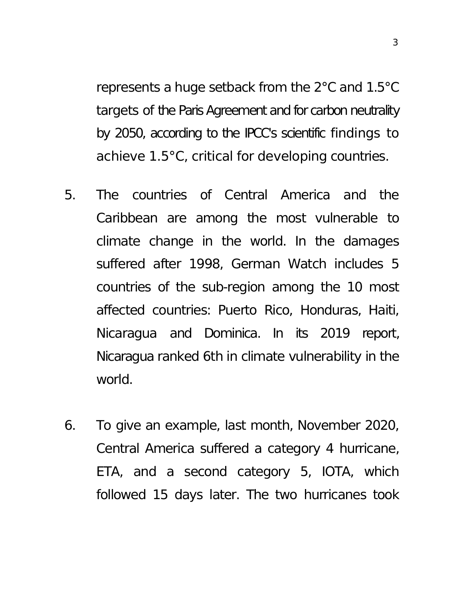represents a huge setback from the 2°C and 1.5°C targets of the Paris Agreement and for carbon neutrality by 2050, according to the IPCC's scientific findings to achieve 1.5°C, critical for developing countries.

- 5. The countries of Central America and the Caribbean are among the most vulnerable to climate change in the world. In the damages suffered after 1998, German Watch includes 5 countries of the sub-region among the 10 most affected countries: Puerto Rico, Honduras, Haiti, Nicaragua and Dominica. In its 2019 report, Nicaragua ranked 6th in climate vulnerability in the world.
- 6. To give an example, last month, November 2020, Central America suffered a category 4 hurricane, ETA, and a second category 5, IOTA, which followed 15 days later. The two hurricanes took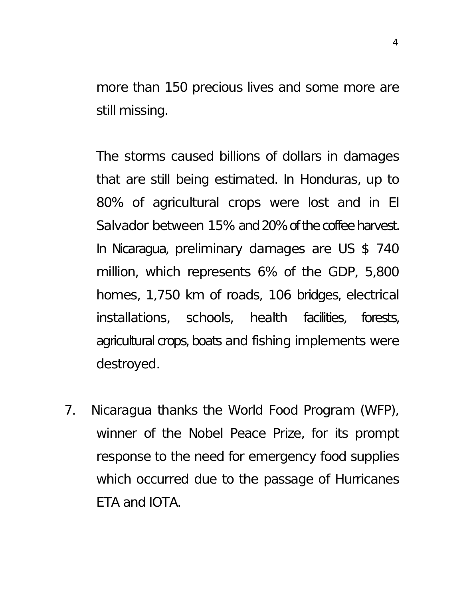more than 150 precious lives and some more are still missing.

The storms caused billions of dollars in damages that are still being estimated. In Honduras, up to 80% of agricultural crops were lost and in El Salvador between 15% and 20% of the coffee harvest. In Nicaragua, preliminary damages are US \$ 740 million, which represents 6% of the GDP, 5,800 homes, 1,750 km of roads, 106 bridges, electrical installations, schools, health facilities, forests, agricultural crops, boats and fishing implements were destroyed.

7. Nicaragua thanks the World Food Program (WFP), winner of the Nobel Peace Prize, for its prompt response to the need for emergency food supplies which occurred due to the passage of Hurricanes ETA and IOTA.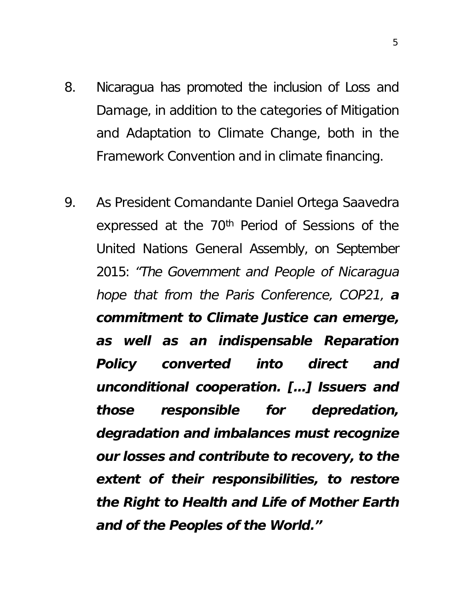- 8. Nicaragua has promoted the inclusion of Loss and Damage, in addition to the categories of Mitigation and Adaptation to Climate Change, both in the Framework Convention and in climate financing.
- 9. As President Comandante Daniel Ortega Saavedra expressed at the 70<sup>th</sup> Period of Sessions of the United Nations General Assembly, on September 2015: *"The Government and People of Nicaragua hope that from the Paris Conference, COP21, a commitment to Climate Justice can emerge, as well as an indispensable Reparation Policy converted into direct and unconditional cooperation. […] Issuers and those responsible for depredation, degradation and imbalances must recognize our losses and contribute to recovery, to the extent of their responsibilities, to restore the Right to Health and Life of Mother Earth and of the Peoples of the World."*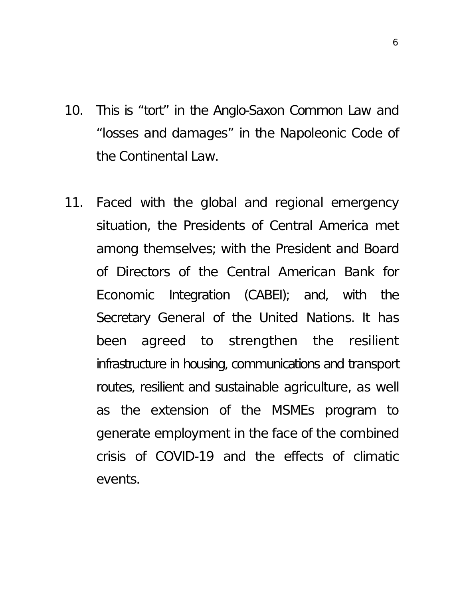- 10. This is "tort" in the Anglo-Saxon Common Law and "losses and damages" in the Napoleonic Code of the Continental Law.
- 11. Faced with the global and regional emergency situation, the Presidents of Central America met among themselves; with the President and Board of Directors of the Central American Bank for Economic Integration (CABEI); and, with the Secretary General of the United Nations. It has been agreed to strengthen the resilient infrastructure in housing, communications and transport routes, resilient and sustainable agriculture, as well as the extension of the MSMEs program to generate employment in the face of the combined crisis of COVID-19 and the effects of climatic events.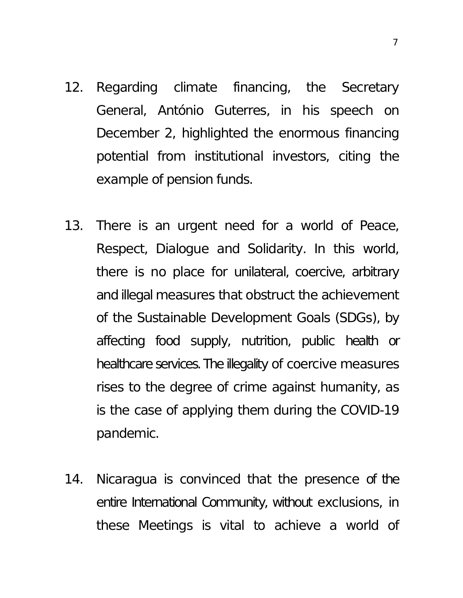- 12. Regarding climate financing, the Secretary General, António Guterres, in his speech on December 2, highlighted the enormous financing potential from institutional investors, citing the example of pension funds.
- 13. There is an urgent need for a world of Peace, Respect, Dialogue and Solidarity. In this world, there is no place for unilateral, coercive, arbitrary and illegal measures that obstruct the achievement of the Sustainable Development Goals (SDGs), by affecting food supply, nutrition, public health or healthcare services. The illegality of coercive measures rises to the degree of crime against humanity, as is the case of applying them during the COVID-19 pandemic.
- 14. Nicaragua is convinced that the presence of the entire International Community, without exclusions, in these Meetings is vital to achieve a world of